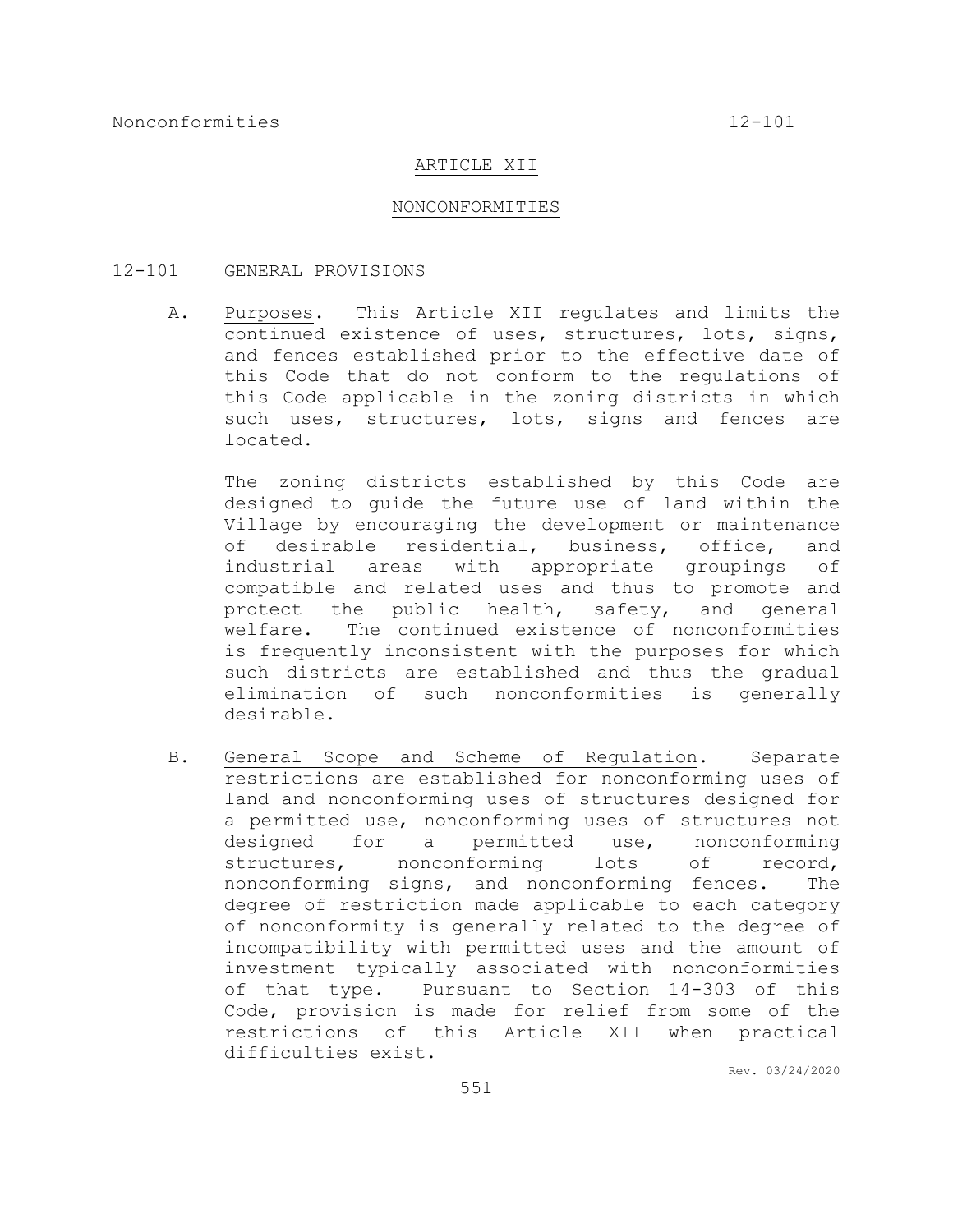### ARTICLE XII

#### NONCONFORMITIES

#### 12-101 GENERAL PROVISIONS

A. Purposes. This Article XII regulates and limits the continued existence of uses, structures, lots, signs, and fences established prior to the effective date of this Code that do not conform to the regulations of this Code applicable in the zoning districts in which such uses, structures, lots, signs and fences are located.

The zoning districts established by this Code are designed to guide the future use of land within the Village by encouraging the development or maintenance of desirable residential, business, office, and industrial areas with appropriate groupings of compatible and related uses and thus to promote and protect the public health, safety, and general welfare. The continued existence of nonconformities is frequently inconsistent with the purposes for which such districts are established and thus the gradual elimination of such nonconformities is generally desirable.

B. General Scope and Scheme of Regulation. Separate restrictions are established for nonconforming uses of land and nonconforming uses of structures designed for a permitted use, nonconforming uses of structures not designed for a permitted use, nonconforming structures, nonconforming lots of record, nonconforming signs, and nonconforming fences. The degree of restriction made applicable to each category of nonconformity is generally related to the degree of incompatibility with permitted uses and the amount of investment typically associated with nonconformities of that type. Pursuant to Section 14-303 of this Code, provision is made for relief from some of the restrictions of this Article XII when practical difficulties exist.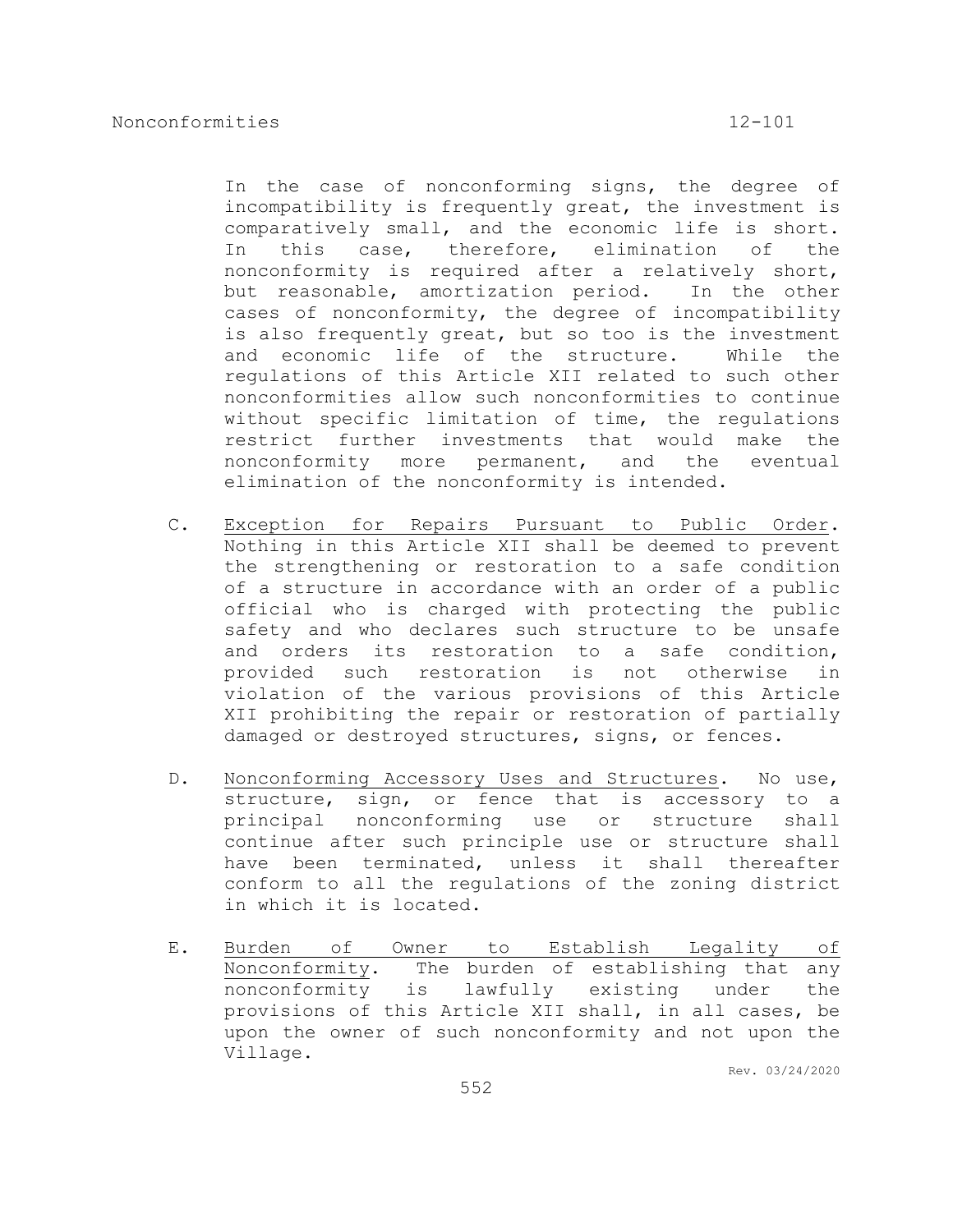In the case of nonconforming signs, the degree of incompatibility is frequently great, the investment is comparatively small, and the economic life is short. In this case, therefore, elimination of the nonconformity is required after a relatively short, but reasonable, amortization period. In the other cases of nonconformity, the degree of incompatibility is also frequently great, but so too is the investment and economic life of the structure. While the regulations of this Article XII related to such other nonconformities allow such nonconformities to continue without specific limitation of time, the regulations restrict further investments that would make the nonconformity more permanent, and the eventual elimination of the nonconformity is intended.

- C. Exception for Repairs Pursuant to Public Order. Nothing in this Article XII shall be deemed to prevent the strengthening or restoration to a safe condition of a structure in accordance with an order of a public official who is charged with protecting the public safety and who declares such structure to be unsafe and orders its restoration to a safe condition, provided such restoration is not otherwise in violation of the various provisions of this Article XII prohibiting the repair or restoration of partially damaged or destroyed structures, signs, or fences.
- D. Nonconforming Accessory Uses and Structures. No use, structure, sign, or fence that is accessory to a principal nonconforming use or structure shall continue after such principle use or structure shall have been terminated, unless it shall thereafter conform to all the regulations of the zoning district in which it is located.
- E. Burden of Owner to Establish Legality of Nonconformity. The burden of establishing that any nonconformity is lawfully existing under the provisions of this Article XII shall, in all cases, be upon the owner of such nonconformity and not upon the Village.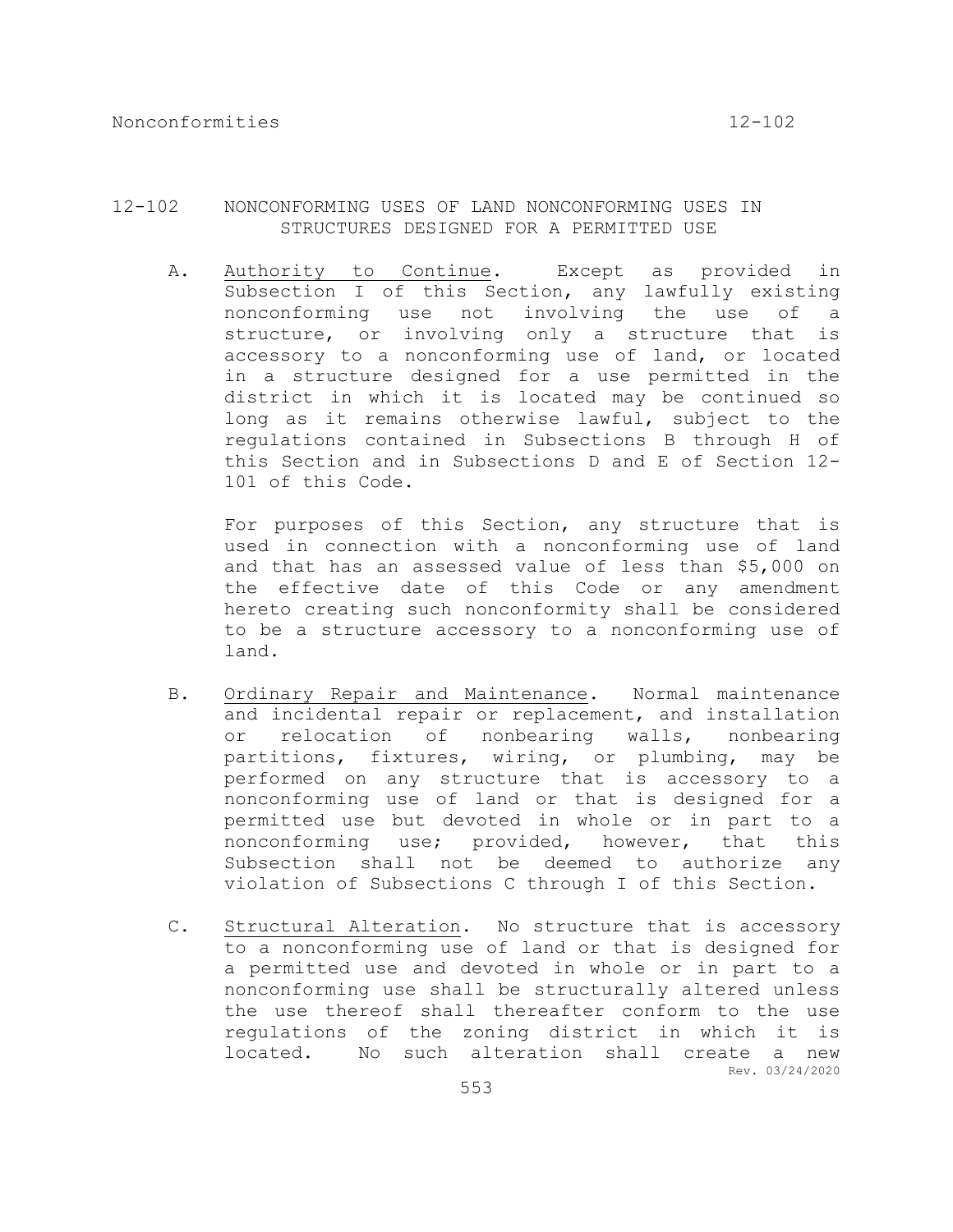## 12-102 NONCONFORMING USES OF LAND NONCONFORMING USES IN STRUCTURES DESIGNED FOR A PERMITTED USE

A. Authority to Continue. Except as provided in Subsection I of this Section, any lawfully existing nonconforming use not involving the use of a structure, or involving only a structure that is accessory to a nonconforming use of land, or located in a structure designed for a use permitted in the district in which it is located may be continued so long as it remains otherwise lawful, subject to the regulations contained in Subsections B through H of this Section and in Subsections D and E of Section 12- 101 of this Code.

For purposes of this Section, any structure that is used in connection with a nonconforming use of land and that has an assessed value of less than \$5,000 on the effective date of this Code or any amendment hereto creating such nonconformity shall be considered to be a structure accessory to a nonconforming use of land.

- B. Ordinary Repair and Maintenance. Normal maintenance and incidental repair or replacement, and installation or relocation of nonbearing walls, nonbearing partitions, fixtures, wiring, or plumbing, may be performed on any structure that is accessory to a nonconforming use of land or that is designed for a permitted use but devoted in whole or in part to a nonconforming use; provided, however, that this Subsection shall not be deemed to authorize any violation of Subsections C through I of this Section.
- Rev. 03/24/2020 C. Structural Alteration. No structure that is accessory to a nonconforming use of land or that is designed for a permitted use and devoted in whole or in part to a nonconforming use shall be structurally altered unless the use thereof shall thereafter conform to the use regulations of the zoning district in which it is located. No such alteration shall create a new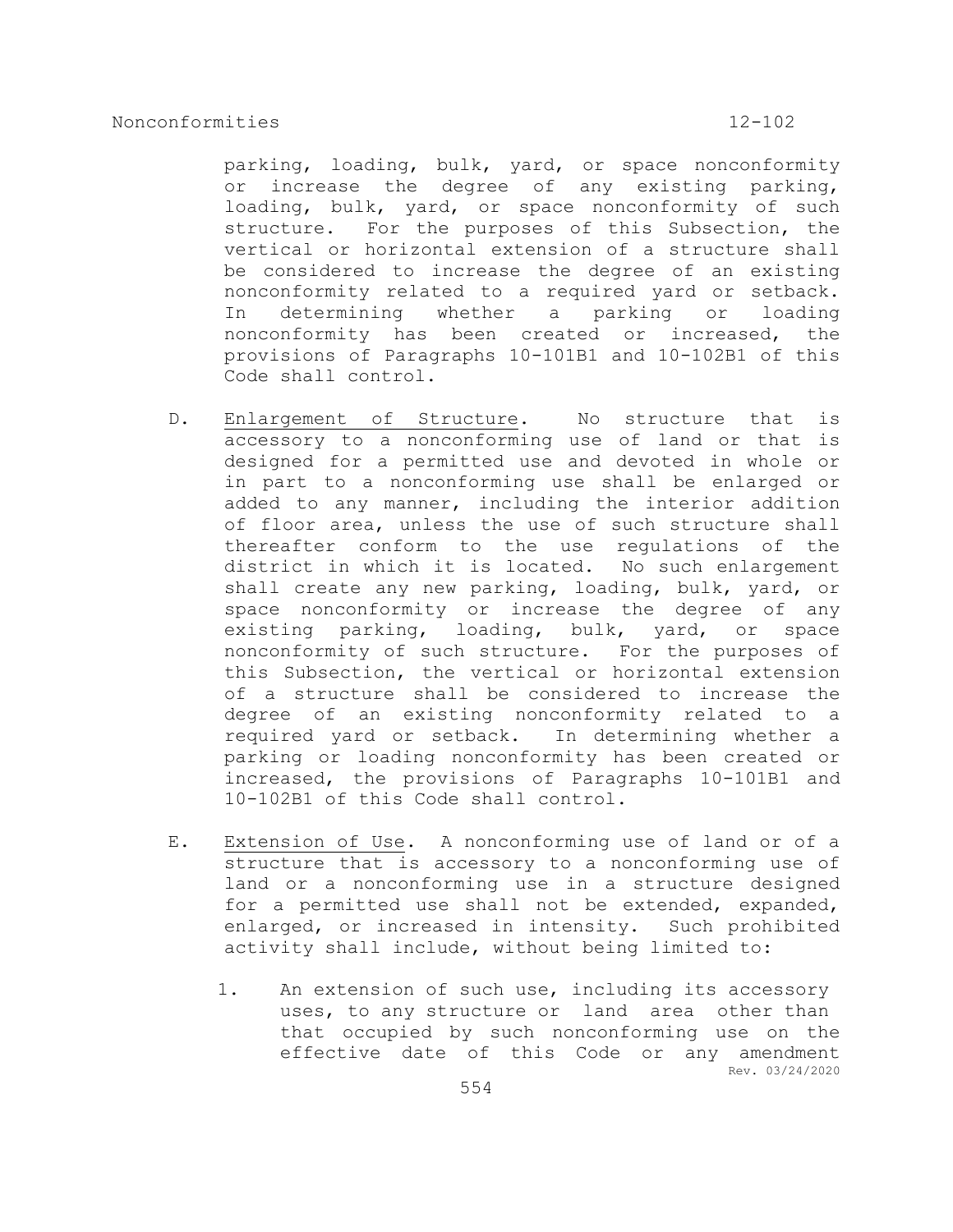parking, loading, bulk, yard, or space nonconformity or increase the degree of any existing parking, loading, bulk, yard, or space nonconformity of such structure. For the purposes of this Subsection, the vertical or horizontal extension of a structure shall be considered to increase the degree of an existing nonconformity related to a required yard or setback. In determining whether a parking or loading nonconformity has been created or increased, the provisions of Paragraphs 10-101B1 and 10-102B1 of this Code shall control.

- D. Enlargement of Structure. No structure that is accessory to a nonconforming use of land or that is designed for a permitted use and devoted in whole or in part to a nonconforming use shall be enlarged or added to any manner, including the interior addition of floor area, unless the use of such structure shall thereafter conform to the use regulations of the district in which it is located. No such enlargement shall create any new parking, loading, bulk, yard, or space nonconformity or increase the degree of any existing parking, loading, bulk, yard, or space nonconformity of such structure. For the purposes of this Subsection, the vertical or horizontal extension of a structure shall be considered to increase the degree of an existing nonconformity related to a required yard or setback. In determining whether a parking or loading nonconformity has been created or increased, the provisions of Paragraphs 10-101B1 and 10-102B1 of this Code shall control.
- E. Extension of Use. A nonconforming use of land or of a structure that is accessory to a nonconforming use of land or a nonconforming use in a structure designed for a permitted use shall not be extended, expanded, enlarged, or increased in intensity. Such prohibited activity shall include, without being limited to:
	- Rev. 03/24/2020 1. An extension of such use, including its accessory uses, to any structure or land area other than that occupied by such nonconforming use on the effective date of this Code or any amendment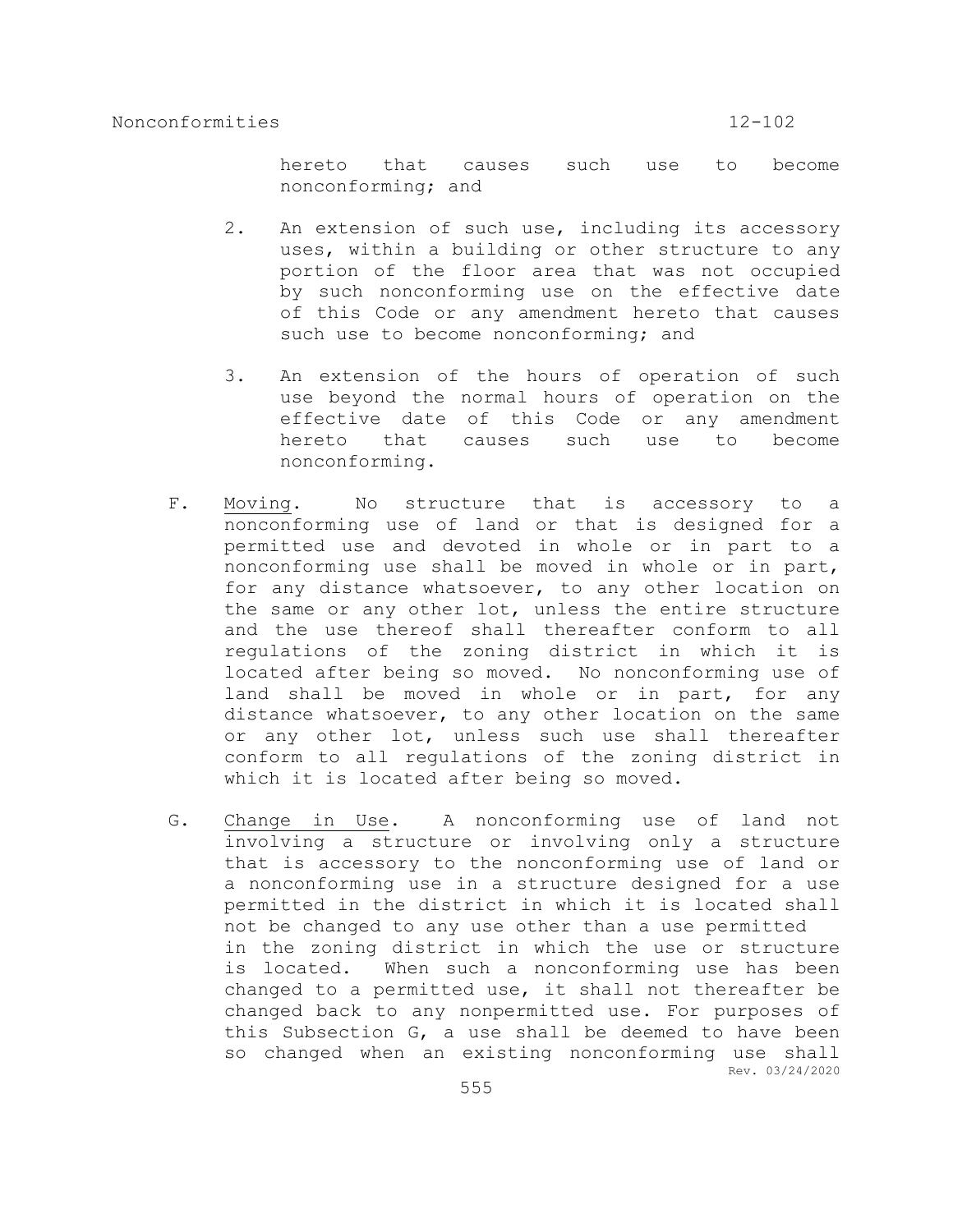hereto that causes such use to become nonconforming; and

- 2. An extension of such use, including its accessory uses, within a building or other structure to any portion of the floor area that was not occupied by such nonconforming use on the effective date of this Code or any amendment hereto that causes such use to become nonconforming; and
- 3. An extension of the hours of operation of such use beyond the normal hours of operation on the effective date of this Code or any amendment hereto that causes such use to become nonconforming.
- F. Moving. No structure that is accessory to a nonconforming use of land or that is designed for a permitted use and devoted in whole or in part to a nonconforming use shall be moved in whole or in part, for any distance whatsoever, to any other location on the same or any other lot, unless the entire structure and the use thereof shall thereafter conform to all regulations of the zoning district in which it is located after being so moved. No nonconforming use of land shall be moved in whole or in part, for any distance whatsoever, to any other location on the same or any other lot, unless such use shall thereafter conform to all regulations of the zoning district in which it is located after being so moved.
- Rev. 03/24/2020 G. Change in Use. A nonconforming use of land not involving a structure or involving only a structure that is accessory to the nonconforming use of land or a nonconforming use in a structure designed for a use permitted in the district in which it is located shall not be changed to any use other than a use permitted in the zoning district in which the use or structure is located. When such a nonconforming use has been changed to a permitted use, it shall not thereafter be changed back to any nonpermitted use. For purposes of this Subsection G, a use shall be deemed to have been so changed when an existing nonconforming use shall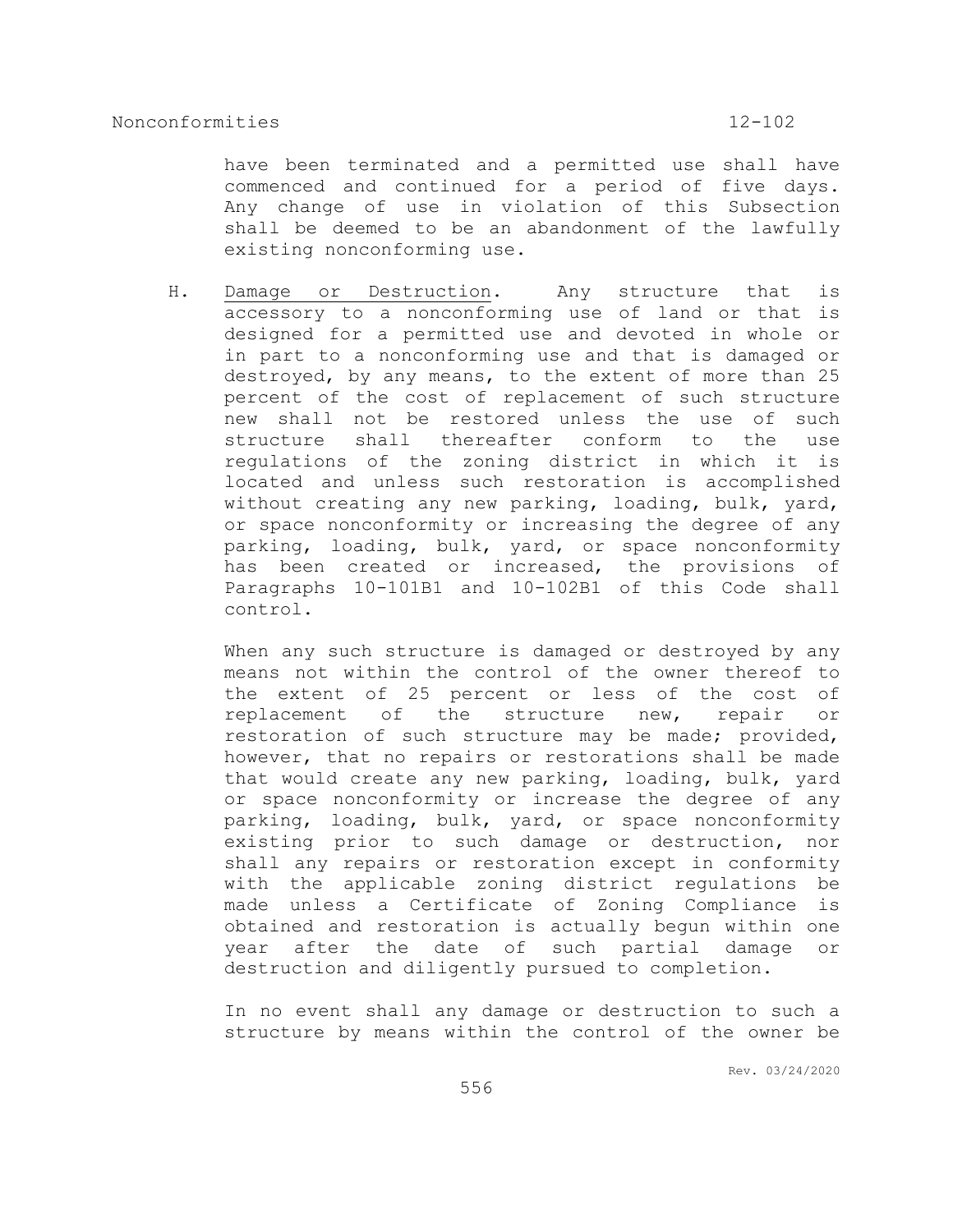have been terminated and a permitted use shall have commenced and continued for a period of five days. Any change of use in violation of this Subsection shall be deemed to be an abandonment of the lawfully existing nonconforming use.

H. Damage or Destruction. Any structure that is accessory to a nonconforming use of land or that is designed for a permitted use and devoted in whole or in part to a nonconforming use and that is damaged or destroyed, by any means, to the extent of more than 25 percent of the cost of replacement of such structure new shall not be restored unless the use of such structure shall thereafter conform to the use regulations of the zoning district in which it is located and unless such restoration is accomplished without creating any new parking, loading, bulk, yard, or space nonconformity or increasing the degree of any parking, loading, bulk, yard, or space nonconformity has been created or increased, the provisions of Paragraphs 10-101B1 and 10-102B1 of this Code shall control.

When any such structure is damaged or destroyed by any means not within the control of the owner thereof to the extent of 25 percent or less of the cost of replacement of the structure new, repair or restoration of such structure may be made; provided, however, that no repairs or restorations shall be made that would create any new parking, loading, bulk, yard or space nonconformity or increase the degree of any parking, loading, bulk, yard, or space nonconformity existing prior to such damage or destruction, nor shall any repairs or restoration except in conformity with the applicable zoning district regulations be made unless a Certificate of Zoning Compliance is obtained and restoration is actually begun within one year after the date of such partial damage or destruction and diligently pursued to completion.

In no event shall any damage or destruction to such a structure by means within the control of the owner be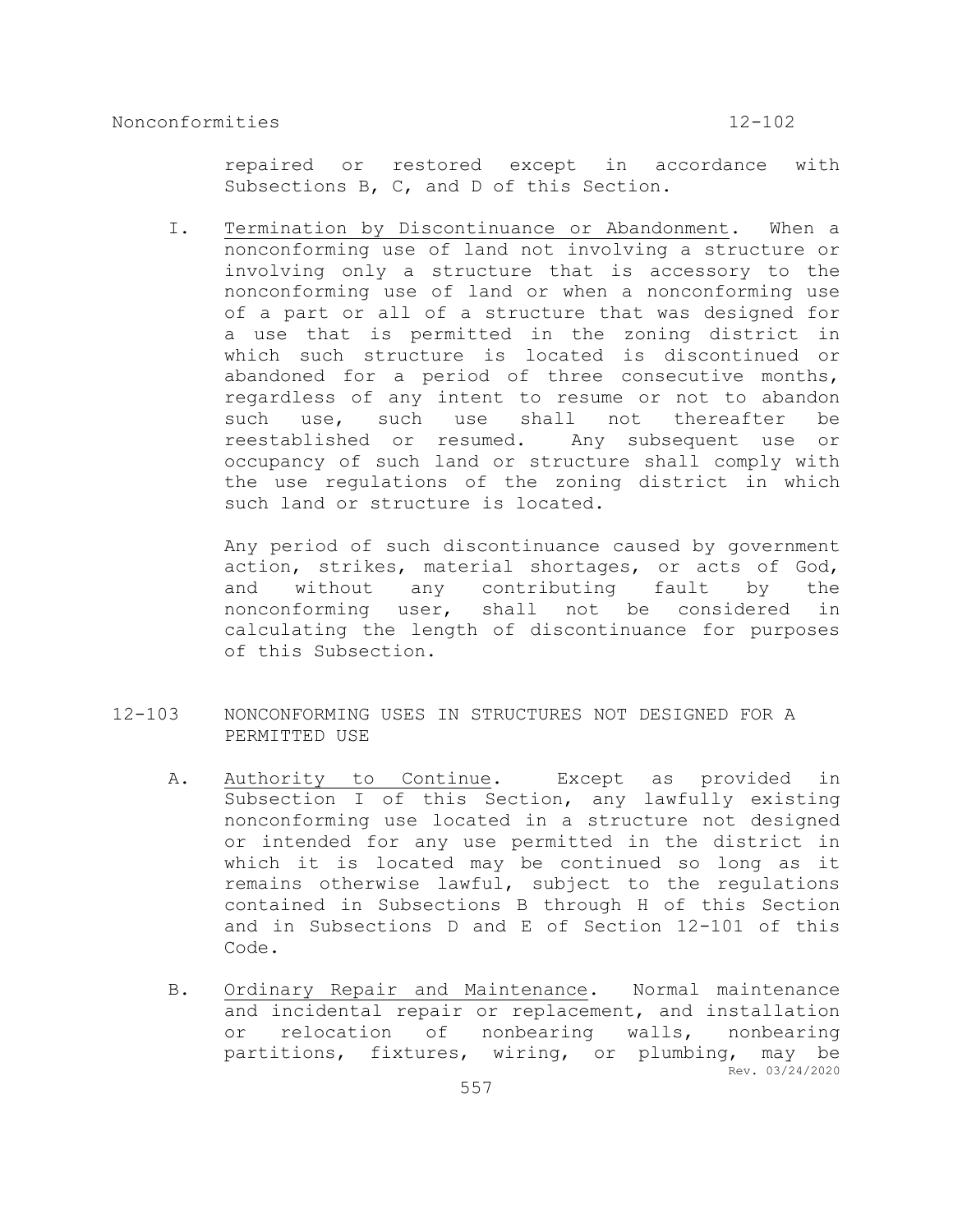repaired or restored except in accordance with Subsections B, C, and D of this Section.

I. Termination by Discontinuance or Abandonment. When a nonconforming use of land not involving a structure or involving only a structure that is accessory to the nonconforming use of land or when a nonconforming use of a part or all of a structure that was designed for a use that is permitted in the zoning district in which such structure is located is discontinued or abandoned for a period of three consecutive months, regardless of any intent to resume or not to abandon such use, such use shall not thereafter be reestablished or resumed. Any subsequent use or occupancy of such land or structure shall comply with the use regulations of the zoning district in which such land or structure is located.

Any period of such discontinuance caused by government action, strikes, material shortages, or acts of God, and without any contributing fault by the nonconforming user, shall not be considered in calculating the length of discontinuance for purposes of this Subsection.

- 12-103 NONCONFORMING USES IN STRUCTURES NOT DESIGNED FOR A PERMITTED USE
	- A. Authority to Continue. Except as provided in Subsection I of this Section, any lawfully existing nonconforming use located in a structure not designed or intended for any use permitted in the district in which it is located may be continued so long as it remains otherwise lawful, subject to the regulations contained in Subsections B through H of this Section and in Subsections D and E of Section 12-101 of this Code.
	- Rev. 03/24/2020 B. Ordinary Repair and Maintenance. Normal maintenance and incidental repair or replacement, and installation or relocation of nonbearing walls, nonbearing partitions, fixtures, wiring, or plumbing, may be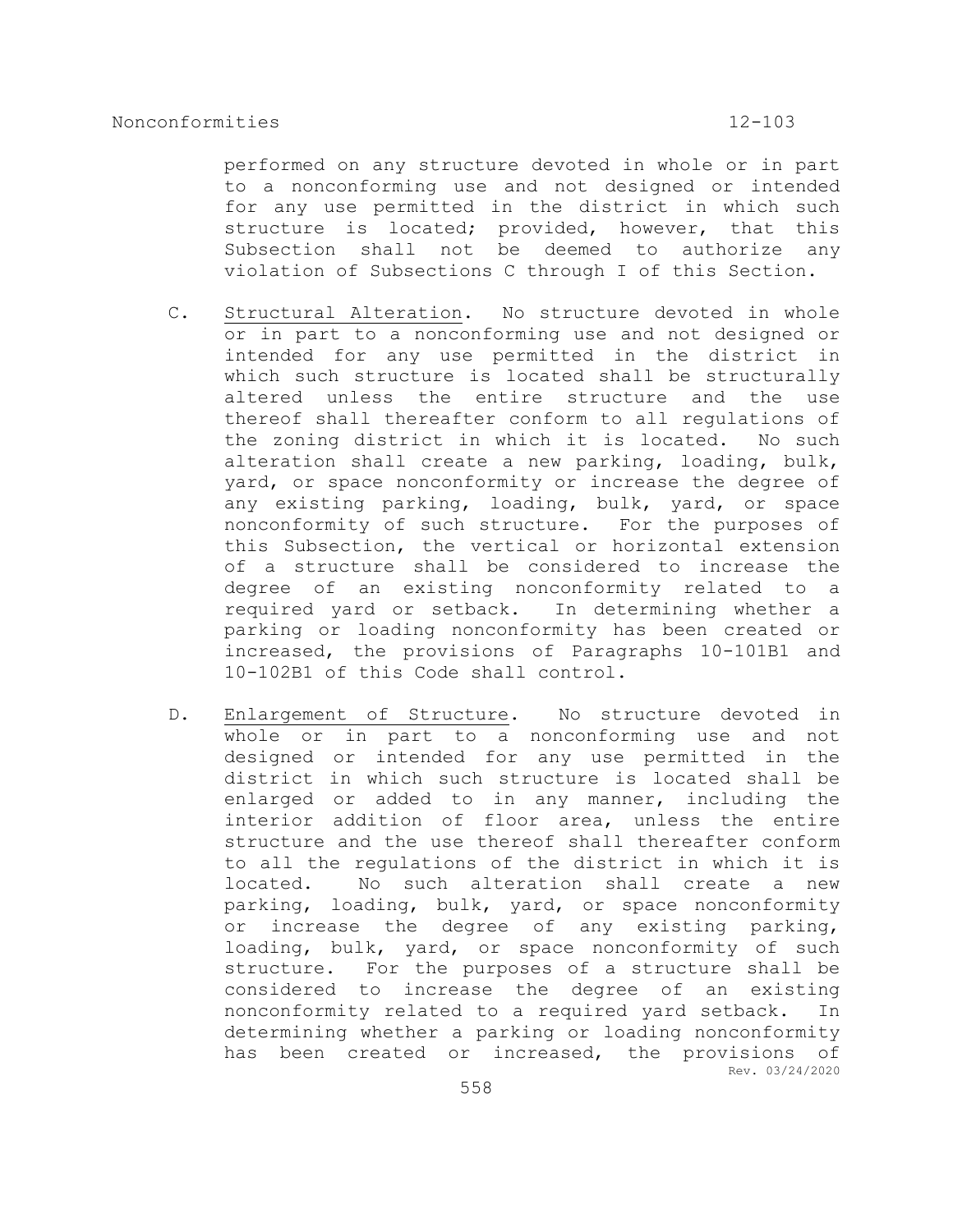performed on any structure devoted in whole or in part to a nonconforming use and not designed or intended for any use permitted in the district in which such structure is located; provided, however, that this Subsection shall not be deemed to authorize any violation of Subsections C through I of this Section.

- C. Structural Alteration. No structure devoted in whole or in part to a nonconforming use and not designed or intended for any use permitted in the district in which such structure is located shall be structurally altered unless the entire structure and the use thereof shall thereafter conform to all regulations of the zoning district in which it is located. No such alteration shall create a new parking, loading, bulk, yard, or space nonconformity or increase the degree of any existing parking, loading, bulk, yard, or space nonconformity of such structure. For the purposes of this Subsection, the vertical or horizontal extension of a structure shall be considered to increase the degree of an existing nonconformity related to a required yard or setback. In determining whether a parking or loading nonconformity has been created or increased, the provisions of Paragraphs 10-101B1 and 10-102B1 of this Code shall control.
- Rev. 03/24/2020 D. Enlargement of Structure. No structure devoted in whole or in part to a nonconforming use and not designed or intended for any use permitted in the district in which such structure is located shall be enlarged or added to in any manner, including the interior addition of floor area, unless the entire structure and the use thereof shall thereafter conform to all the regulations of the district in which it is located. No such alteration shall create a new parking, loading, bulk, yard, or space nonconformity or increase the degree of any existing parking, loading, bulk, yard, or space nonconformity of such structure. For the purposes of a structure shall be considered to increase the degree of an existing nonconformity related to a required yard setback. In determining whether a parking or loading nonconformity has been created or increased, the provisions of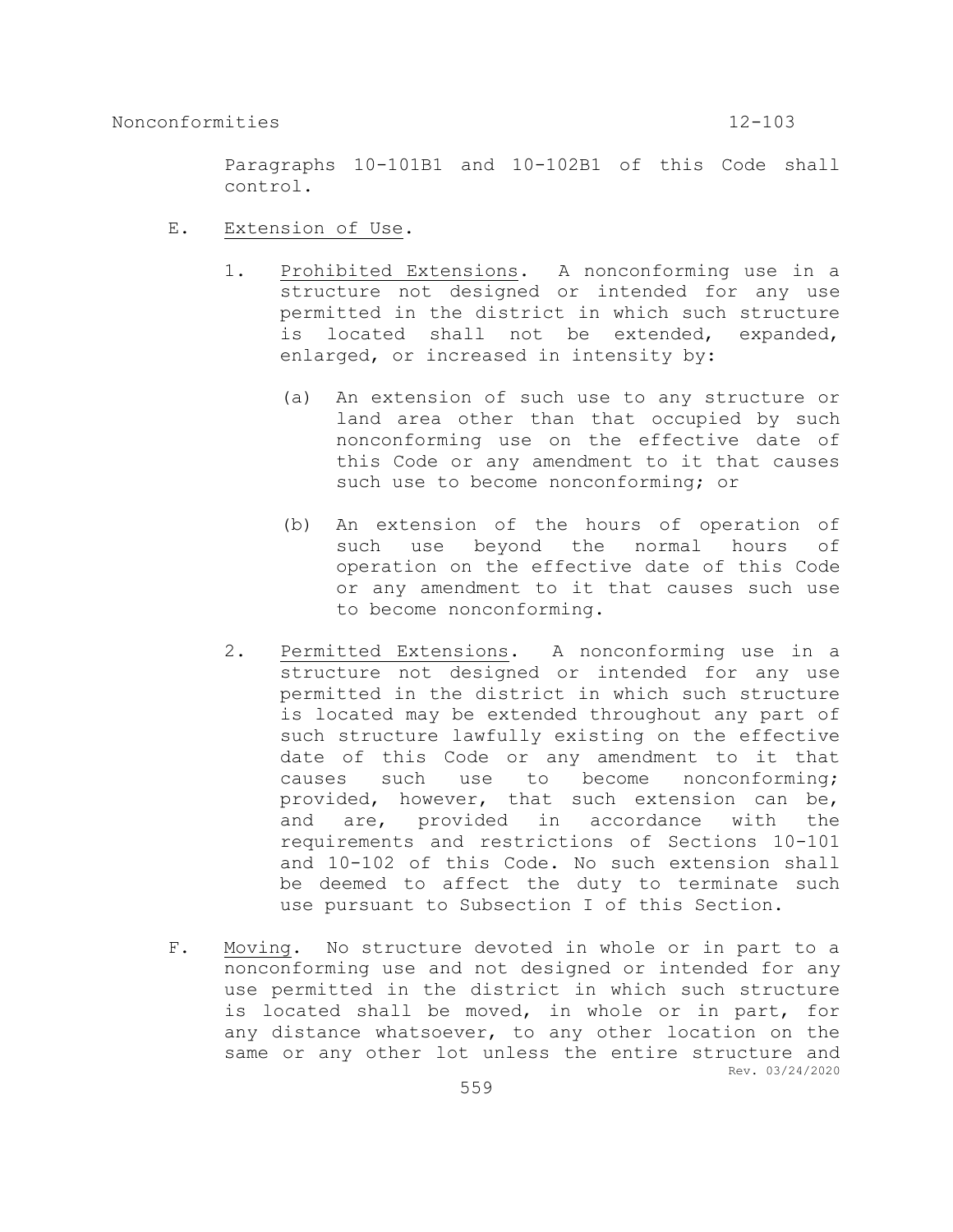Paragraphs 10-101B1 and 10-102B1 of this Code shall control.

- E. Extension of Use.
	- 1. Prohibited Extensions. A nonconforming use in a structure not designed or intended for any use permitted in the district in which such structure is located shall not be extended, expanded, enlarged, or increased in intensity by:
		- (a) An extension of such use to any structure or land area other than that occupied by such nonconforming use on the effective date of this Code or any amendment to it that causes such use to become nonconforming; or
		- (b) An extension of the hours of operation of such use beyond the normal hours of operation on the effective date of this Code or any amendment to it that causes such use to become nonconforming.
	- 2. Permitted Extensions. A nonconforming use in a structure not designed or intended for any use permitted in the district in which such structure is located may be extended throughout any part of such structure lawfully existing on the effective date of this Code or any amendment to it that causes such use to become nonconforming; provided, however, that such extension can be, and are, provided in accordance with the requirements and restrictions of Sections 10-101 and 10-102 of this Code. No such extension shall be deemed to affect the duty to terminate such use pursuant to Subsection I of this Section.
- Rev. 03/24/2020 F. Moving. No structure devoted in whole or in part to a nonconforming use and not designed or intended for any use permitted in the district in which such structure is located shall be moved, in whole or in part, for any distance whatsoever, to any other location on the same or any other lot unless the entire structure and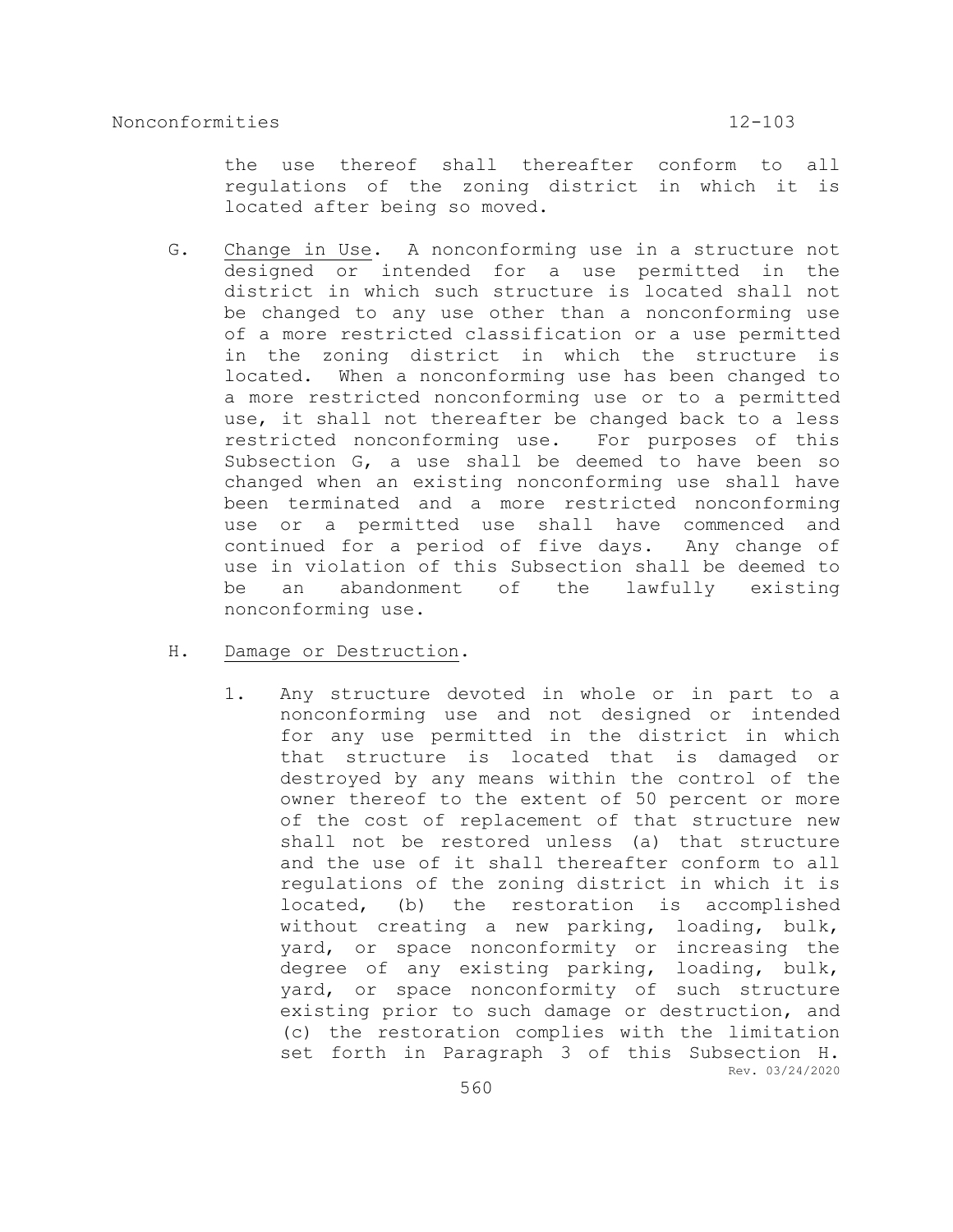the use thereof shall thereafter conform to all regulations of the zoning district in which it is located after being so moved.

G. Change in Use. A nonconforming use in a structure not designed or intended for a use permitted in the district in which such structure is located shall not be changed to any use other than a nonconforming use of a more restricted classification or a use permitted in the zoning district in which the structure is located. When a nonconforming use has been changed to a more restricted nonconforming use or to a permitted use, it shall not thereafter be changed back to a less restricted nonconforming use. For purposes of this Subsection G, a use shall be deemed to have been so changed when an existing nonconforming use shall have been terminated and a more restricted nonconforming use or a permitted use shall have commenced and continued for a period of five days. Any change of use in violation of this Subsection shall be deemed to be an abandonment of the lawfully existing nonconforming use.

### H. Damage or Destruction.

Rev. 03/24/2020 1. Any structure devoted in whole or in part to a nonconforming use and not designed or intended for any use permitted in the district in which that structure is located that is damaged or destroyed by any means within the control of the owner thereof to the extent of 50 percent or more of the cost of replacement of that structure new shall not be restored unless (a) that structure and the use of it shall thereafter conform to all regulations of the zoning district in which it is located, (b) the restoration is accomplished without creating a new parking, loading, bulk, yard, or space nonconformity or increasing the degree of any existing parking, loading, bulk, yard, or space nonconformity of such structure existing prior to such damage or destruction, and (c) the restoration complies with the limitation set forth in Paragraph 3 of this Subsection H.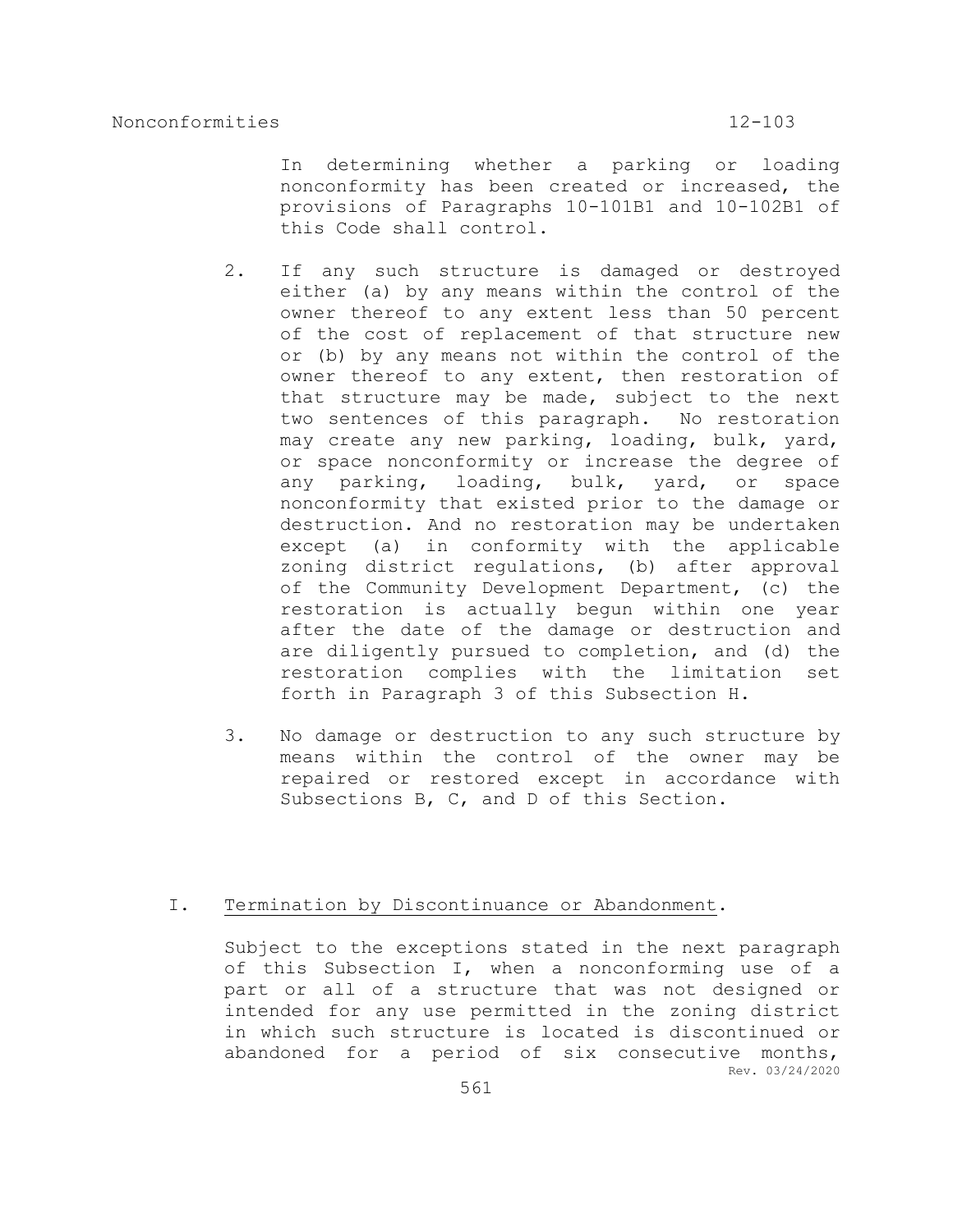In determining whether a parking or loading nonconformity has been created or increased, the provisions of Paragraphs 10-101B1 and 10-102B1 of this Code shall control.

- 2. If any such structure is damaged or destroyed either (a) by any means within the control of the owner thereof to any extent less than 50 percent of the cost of replacement of that structure new or (b) by any means not within the control of the owner thereof to any extent, then restoration of that structure may be made, subject to the next two sentences of this paragraph. No restoration may create any new parking, loading, bulk, yard, or space nonconformity or increase the degree of any parking, loading, bulk, yard, or space nonconformity that existed prior to the damage or destruction. And no restoration may be undertaken except (a) in conformity with the applicable zoning district regulations, (b) after approval of the Community Development Department, (c) the restoration is actually begun within one year after the date of the damage or destruction and are diligently pursued to completion, and (d) the restoration complies with the limitation set forth in Paragraph 3 of this Subsection H.
- 3. No damage or destruction to any such structure by means within the control of the owner may be repaired or restored except in accordance with Subsections B, C, and D of this Section.

# I. Termination by Discontinuance or Abandonment.

Rev. 03/24/2020 Subject to the exceptions stated in the next paragraph of this Subsection I, when a nonconforming use of a part or all of a structure that was not designed or intended for any use permitted in the zoning district in which such structure is located is discontinued or abandoned for a period of six consecutive months,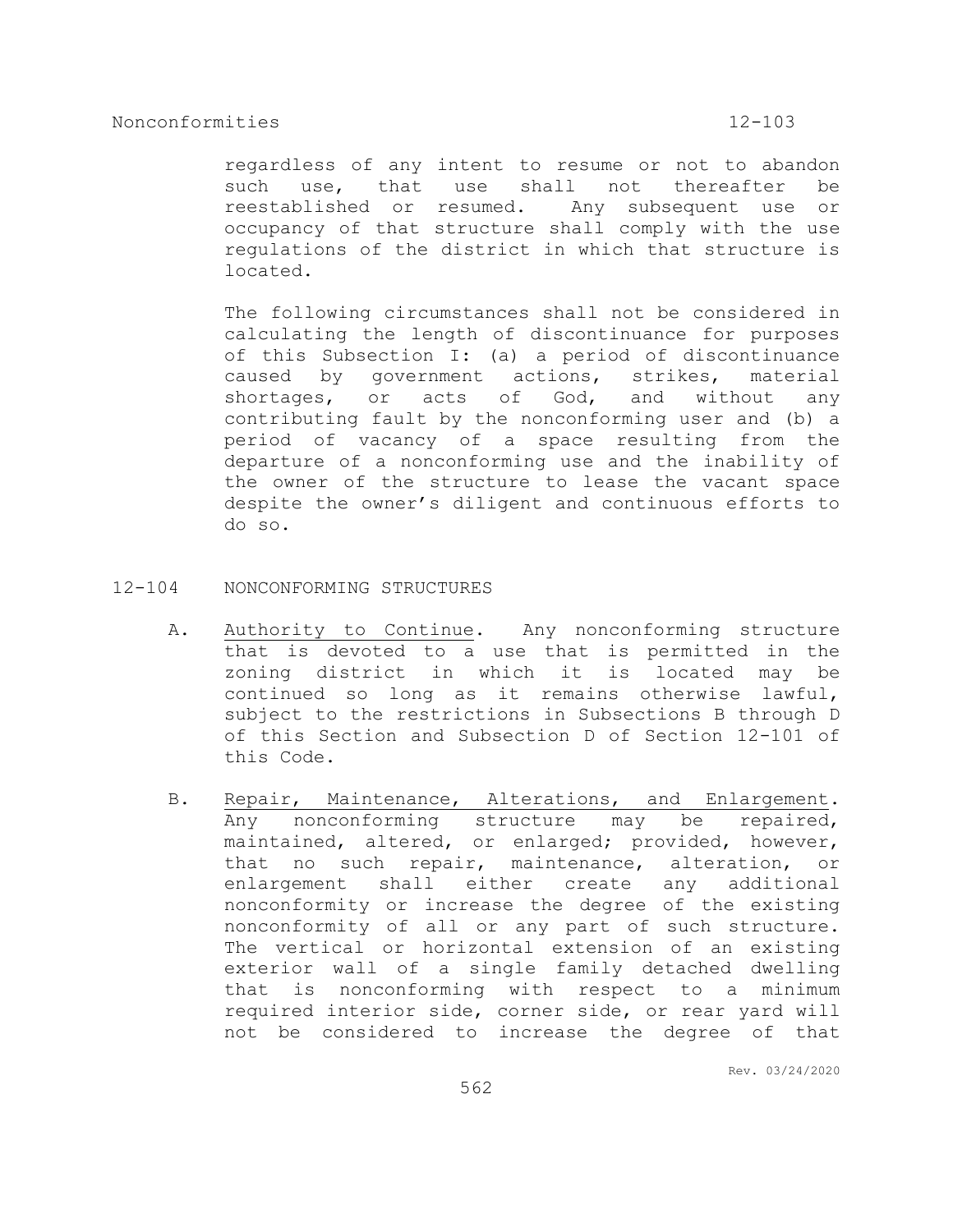regardless of any intent to resume or not to abandon such use, that use shall not thereafter be reestablished or resumed. Any subsequent use or occupancy of that structure shall comply with the use regulations of the district in which that structure is located.

The following circumstances shall not be considered in calculating the length of discontinuance for purposes of this Subsection I: (a) a period of discontinuance caused by government actions, strikes, material shortages, or acts of God, and without any contributing fault by the nonconforming user and (b) a period of vacancy of a space resulting from the departure of a nonconforming use and the inability of the owner of the structure to lease the vacant space despite the owner's diligent and continuous efforts to do so.

- 12-104 NONCONFORMING STRUCTURES
	- A. Authority to Continue. Any nonconforming structure that is devoted to a use that is permitted in the zoning district in which it is located may be continued so long as it remains otherwise lawful, subject to the restrictions in Subsections B through D of this Section and Subsection D of Section 12-101 of this Code.
	- B. Repair, Maintenance, Alterations, and Enlargement. Any nonconforming structure may be repaired, maintained, altered, or enlarged; provided, however, that no such repair, maintenance, alteration, or enlargement shall either create any additional nonconformity or increase the degree of the existing nonconformity of all or any part of such structure. The vertical or horizontal extension of an existing exterior wall of a single family detached dwelling that is nonconforming with respect to a minimum required interior side, corner side, or rear yard will not be considered to increase the degree of that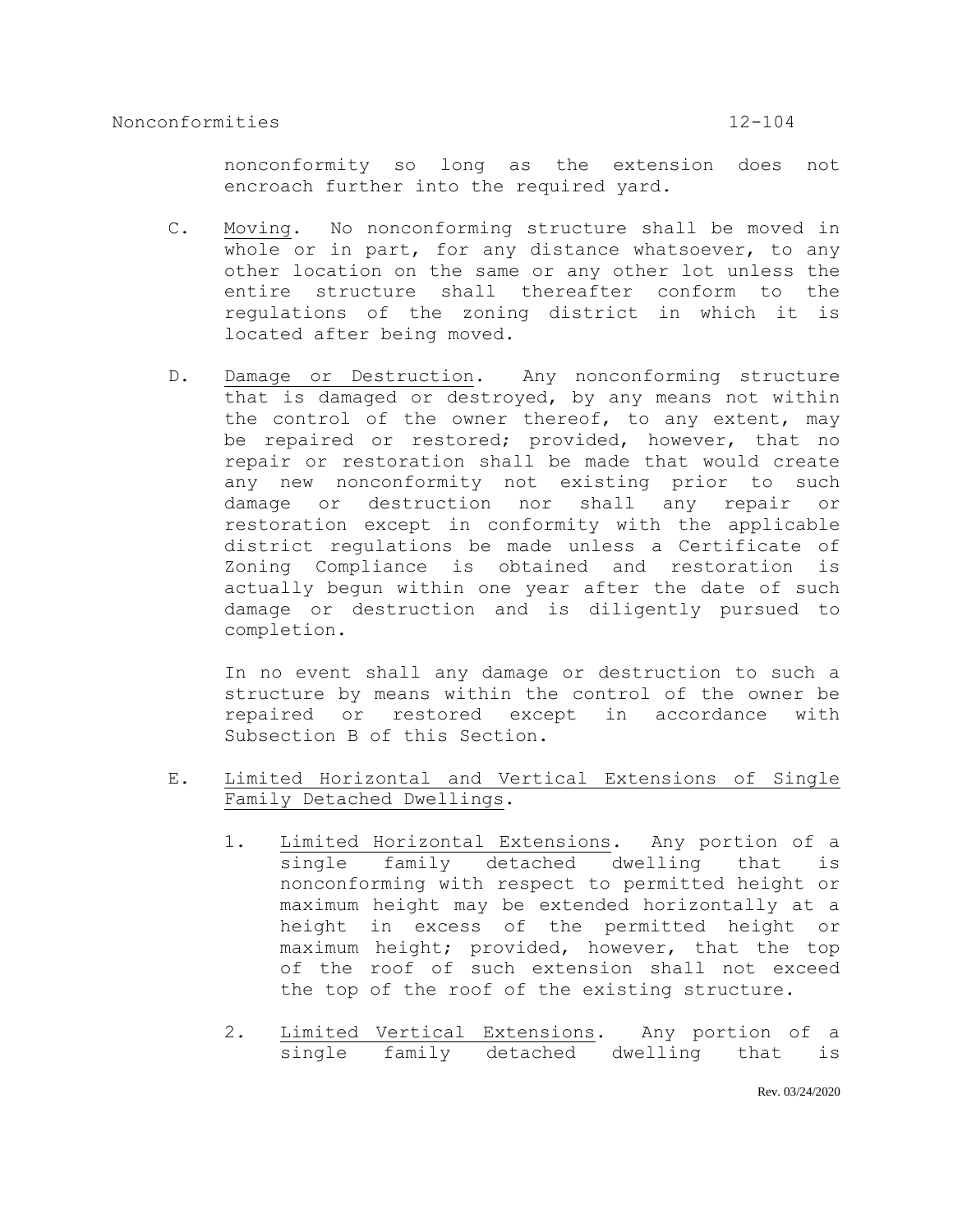nonconformity so long as the extension does not encroach further into the required yard.

- C. Moving. No nonconforming structure shall be moved in whole or in part, for any distance whatsoever, to any other location on the same or any other lot unless the entire structure shall thereafter conform to the regulations of the zoning district in which it is located after being moved.
- D. Damage or Destruction. Any nonconforming structure that is damaged or destroyed, by any means not within the control of the owner thereof, to any extent, may be repaired or restored; provided, however, that no repair or restoration shall be made that would create any new nonconformity not existing prior to such damage or destruction nor shall any repair or restoration except in conformity with the applicable district regulations be made unless a Certificate of Zoning Compliance is obtained and restoration is actually begun within one year after the date of such damage or destruction and is diligently pursued to completion.

In no event shall any damage or destruction to such a structure by means within the control of the owner be repaired or restored except in accordance with Subsection B of this Section.

- E. Limited Horizontal and Vertical Extensions of Single Family Detached Dwellings.
	- 1. Limited Horizontal Extensions. Any portion of a single family detached dwelling that is nonconforming with respect to permitted height or maximum height may be extended horizontally at a height in excess of the permitted height or maximum height; provided, however, that the top of the roof of such extension shall not exceed the top of the roof of the existing structure.
	- 2. Limited Vertical Extensions. Any portion of a single family detached dwelling that is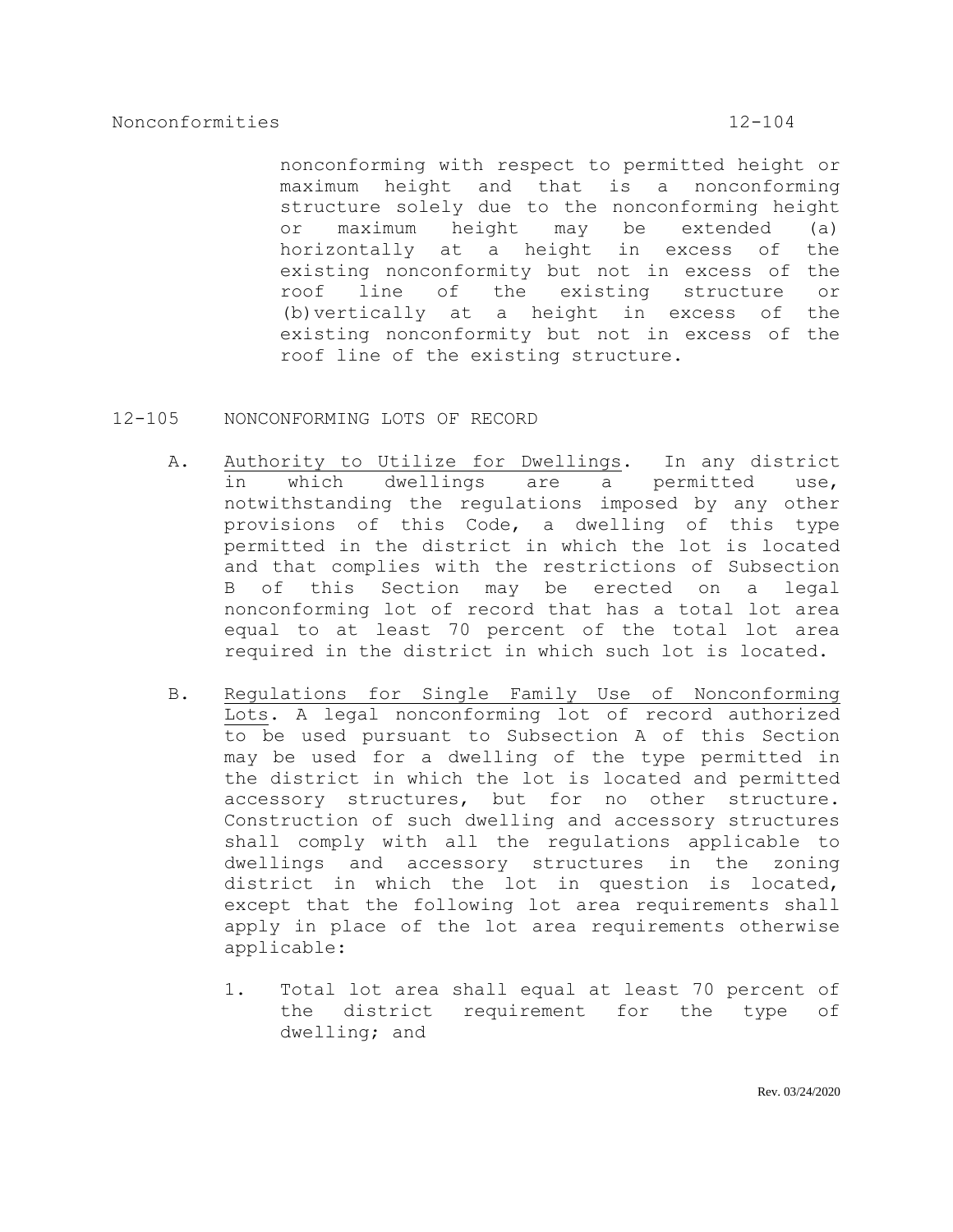nonconforming with respect to permitted height or maximum height and that is a nonconforming structure solely due to the nonconforming height or maximum height may be extended (a) horizontally at a height in excess of the existing nonconformity but not in excess of the roof line of the existing structure or (b)vertically at a height in excess of the existing nonconformity but not in excess of the roof line of the existing structure.

- 12-105 NONCONFORMING LOTS OF RECORD
	- A. Authority to Utilize for Dwellings. In any district in which dwellings are a permitted use, notwithstanding the regulations imposed by any other provisions of this Code, a dwelling of this type permitted in the district in which the lot is located and that complies with the restrictions of Subsection B of this Section may be erected on a legal nonconforming lot of record that has a total lot area equal to at least 70 percent of the total lot area required in the district in which such lot is located.
	- B. Regulations for Single Family Use of Nonconforming Lots. A legal nonconforming lot of record authorized to be used pursuant to Subsection A of this Section may be used for a dwelling of the type permitted in the district in which the lot is located and permitted accessory structures, but for no other structure. Construction of such dwelling and accessory structures shall comply with all the regulations applicable to dwellings and accessory structures in the zoning district in which the lot in question is located, except that the following lot area requirements shall apply in place of the lot area requirements otherwise applicable:
		- 1. Total lot area shall equal at least 70 percent of the district requirement for the type of dwelling; and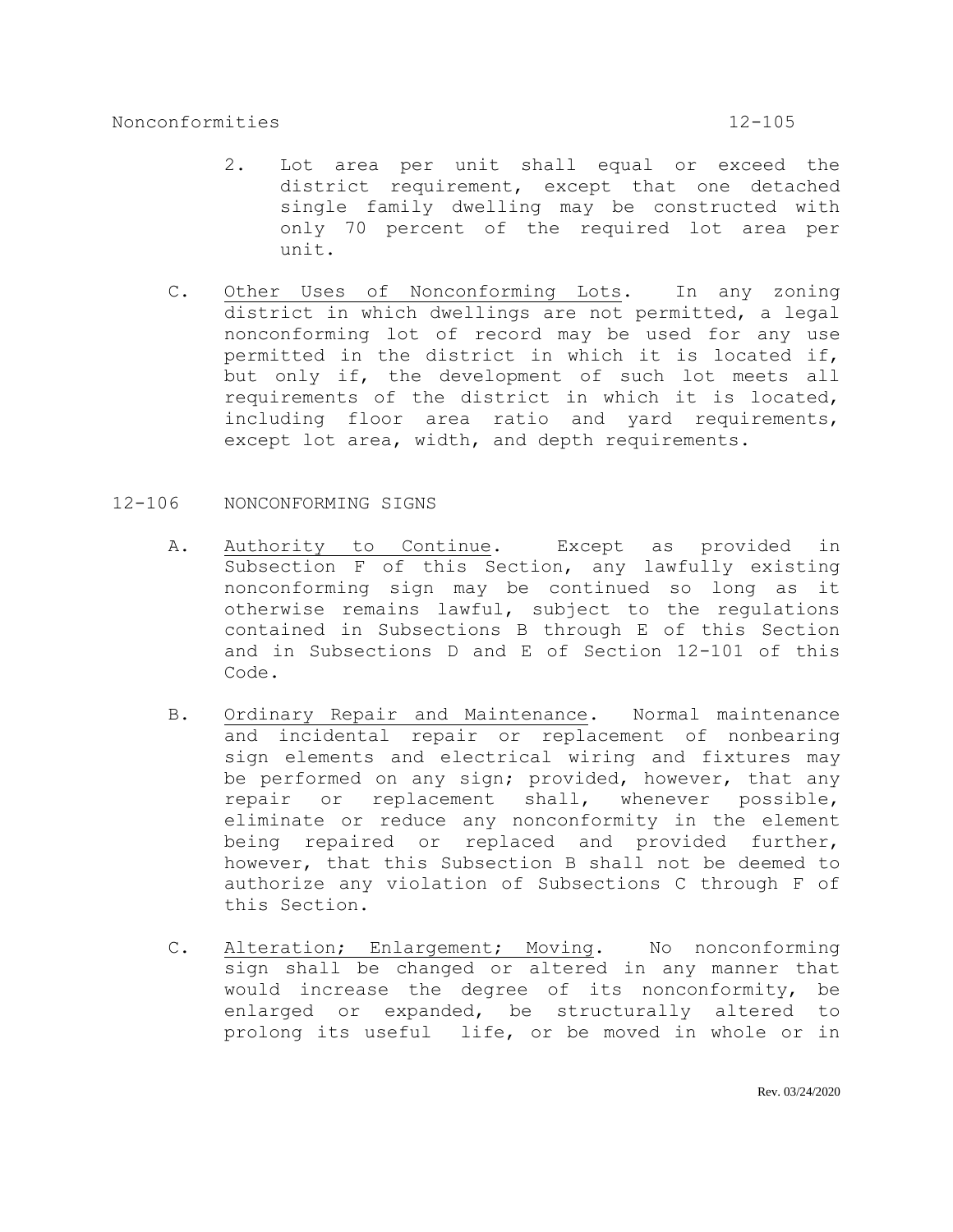- 2. Lot area per unit shall equal or exceed the district requirement, except that one detached single family dwelling may be constructed with only 70 percent of the required lot area per unit.
- C. Other Uses of Nonconforming Lots. In any zoning district in which dwellings are not permitted, a legal nonconforming lot of record may be used for any use permitted in the district in which it is located if, but only if, the development of such lot meets all requirements of the district in which it is located, including floor area ratio and yard requirements, except lot area, width, and depth requirements.
- 12-106 NONCONFORMING SIGNS
	- A. Authority to Continue. Except as provided in Subsection F of this Section, any lawfully existing nonconforming sign may be continued so long as it otherwise remains lawful, subject to the regulations contained in Subsections B through E of this Section and in Subsections D and E of Section 12-101 of this Code.
	- B. Ordinary Repair and Maintenance. Normal maintenance and incidental repair or replacement of nonbearing sign elements and electrical wiring and fixtures may be performed on any sign; provided, however, that any repair or replacement shall, whenever possible, eliminate or reduce any nonconformity in the element being repaired or replaced and provided further, however, that this Subsection B shall not be deemed to authorize any violation of Subsections C through F of this Section.
	- C. Alteration; Enlargement; Moving. No nonconforming sign shall be changed or altered in any manner that would increase the degree of its nonconformity, be enlarged or expanded, be structurally altered to prolong its useful life, or be moved in whole or in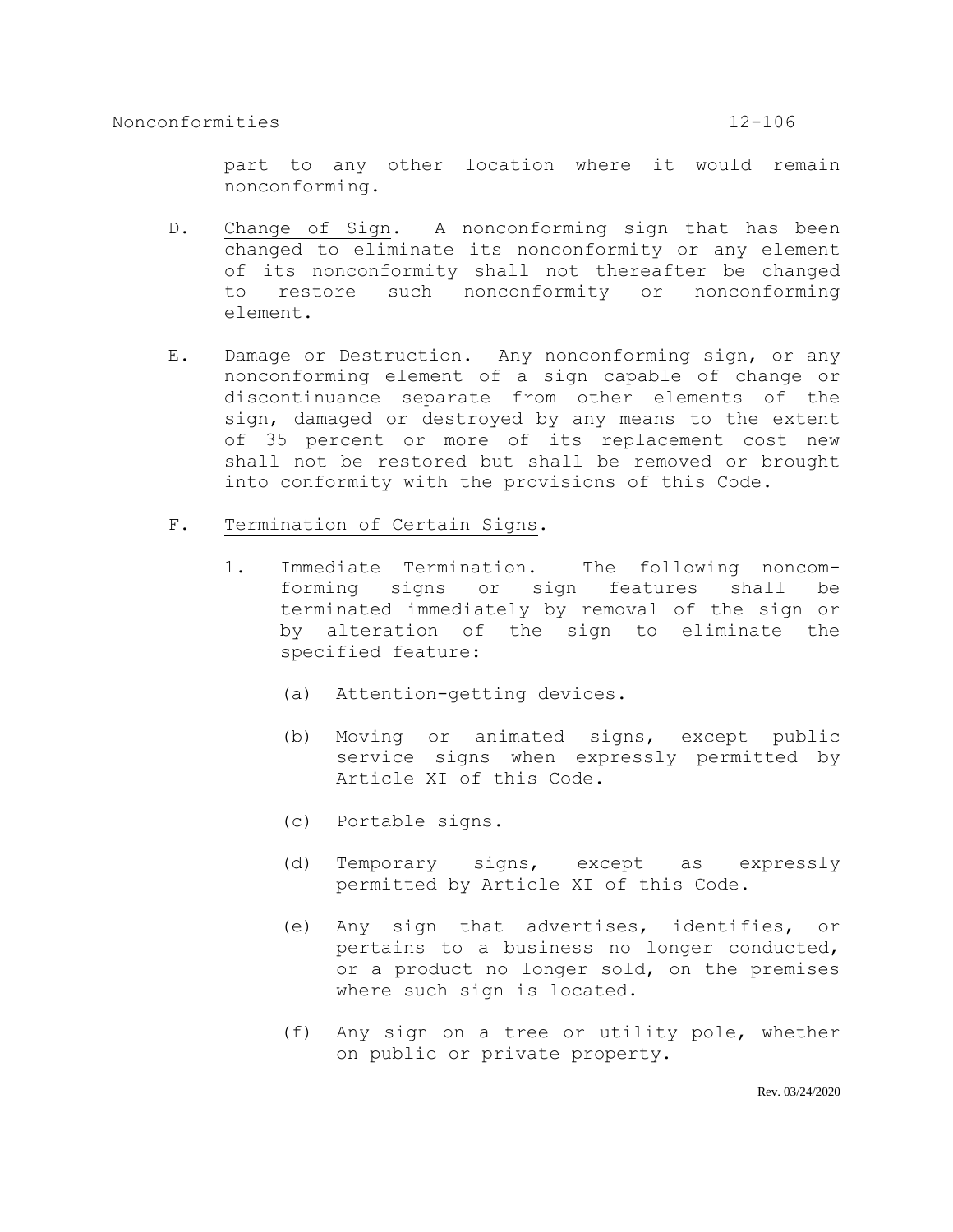part to any other location where it would remain nonconforming.

- D. Change of Sign. A nonconforming sign that has been changed to eliminate its nonconformity or any element of its nonconformity shall not thereafter be changed to restore such nonconformity or nonconforming element.
- E. Damage or Destruction. Any nonconforming sign, or any nonconforming element of a sign capable of change or discontinuance separate from other elements of the sign, damaged or destroyed by any means to the extent of 35 percent or more of its replacement cost new shall not be restored but shall be removed or brought into conformity with the provisions of this Code.
- F. Termination of Certain Signs.
	- 1. Immediate Termination. The following noncomforming signs or sign features shall be terminated immediately by removal of the sign or by alteration of the sign to eliminate the specified feature:
		- (a) Attention-getting devices.
		- (b) Moving or animated signs, except public service signs when expressly permitted by Article XI of this Code.
		- (c) Portable signs.
		- (d) Temporary signs, except as expressly permitted by Article XI of this Code.
		- (e) Any sign that advertises, identifies, or pertains to a business no longer conducted, or a product no longer sold, on the premises where such sign is located.
		- (f) Any sign on a tree or utility pole, whether on public or private property.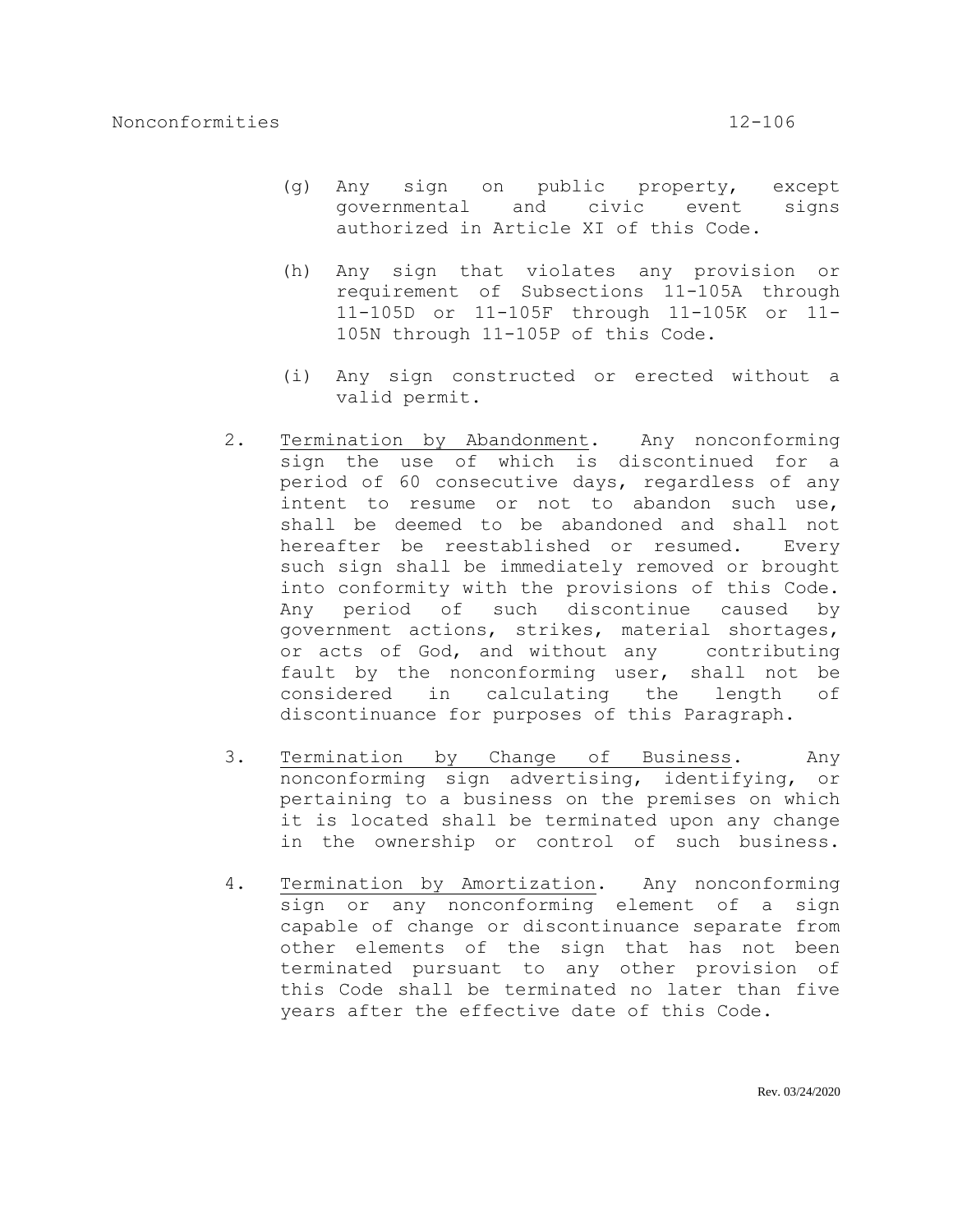- (g) Any sign on public property, except governmental and civic event signs authorized in Article XI of this Code.
- (h) Any sign that violates any provision or requirement of Subsections 11-105A through 11-105D or 11-105F through 11-105K or 11- 105N through 11-105P of this Code.
- (i) Any sign constructed or erected without a valid permit.
- 2. Termination by Abandonment. Any nonconforming sign the use of which is discontinued for a period of 60 consecutive days, regardless of any intent to resume or not to abandon such use, shall be deemed to be abandoned and shall not hereafter be reestablished or resumed. Every such sign shall be immediately removed or brought into conformity with the provisions of this Code. Any period of such discontinue caused by government actions, strikes, material shortages, or acts of God, and without any contributing fault by the nonconforming user, shall not be considered in calculating the length of discontinuance for purposes of this Paragraph.
- 3. Termination by Change of Business. Any nonconforming sign advertising, identifying, or pertaining to a business on the premises on which it is located shall be terminated upon any change in the ownership or control of such business.
- 4. Termination by Amortization. Any nonconforming sign or any nonconforming element of a sign capable of change or discontinuance separate from other elements of the sign that has not been terminated pursuant to any other provision of this Code shall be terminated no later than five years after the effective date of this Code.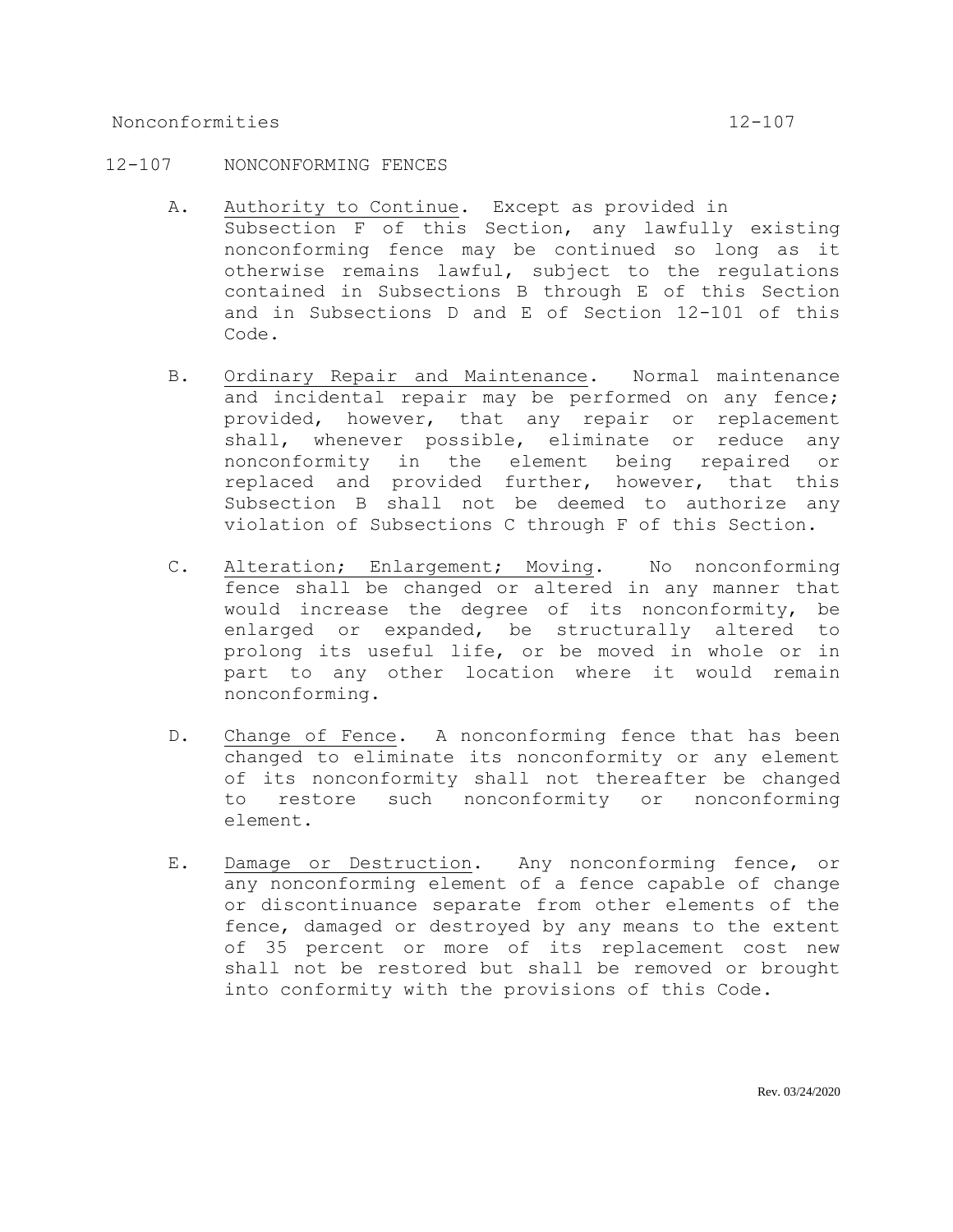## 12-107 NONCONFORMING FENCES

- A. Authority to Continue. Except as provided in Subsection F of this Section, any lawfully existing nonconforming fence may be continued so long as it otherwise remains lawful, subject to the regulations contained in Subsections B through E of this Section and in Subsections D and E of Section 12-101 of this Code.
- B. Ordinary Repair and Maintenance. Normal maintenance and incidental repair may be performed on any fence; provided, however, that any repair or replacement shall, whenever possible, eliminate or reduce any nonconformity in the element being repaired or replaced and provided further, however, that this Subsection B shall not be deemed to authorize any violation of Subsections C through F of this Section.
- C. Alteration; Enlargement; Moving. No nonconforming fence shall be changed or altered in any manner that would increase the degree of its nonconformity, be enlarged or expanded, be structurally altered to prolong its useful life, or be moved in whole or in part to any other location where it would remain nonconforming.
- D. Change of Fence. A nonconforming fence that has been changed to eliminate its nonconformity or any element of its nonconformity shall not thereafter be changed to restore such nonconformity or nonconforming element.
- E. Damage or Destruction. Any nonconforming fence, or any nonconforming element of a fence capable of change or discontinuance separate from other elements of the fence, damaged or destroyed by any means to the extent of 35 percent or more of its replacement cost new shall not be restored but shall be removed or brought into conformity with the provisions of this Code.